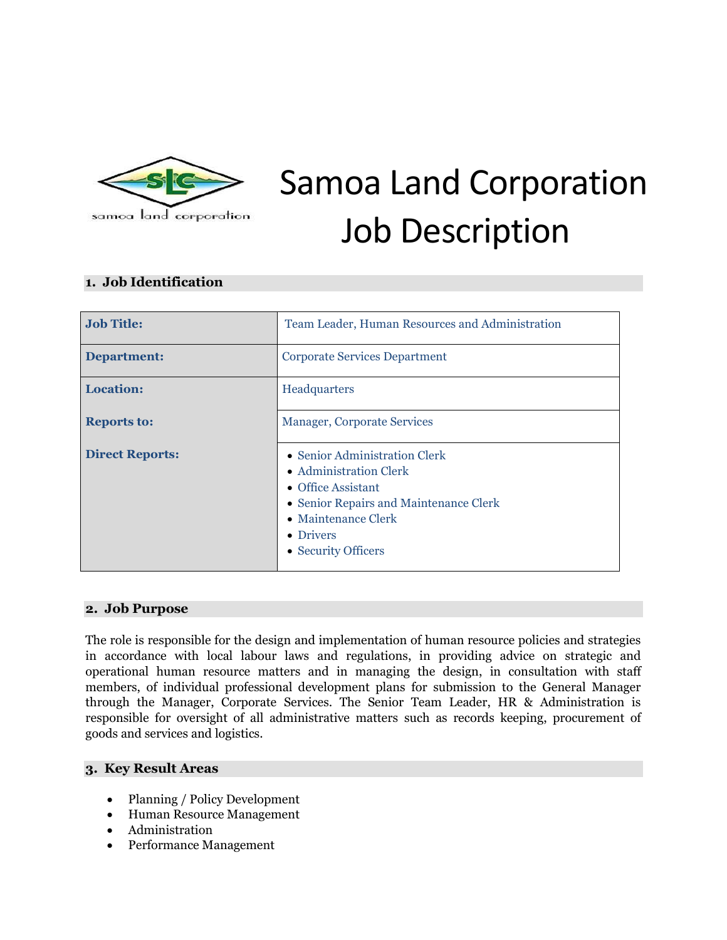

# Samoa Land Corporation Job Description

# **1. Job Identification**

| <b>Job Title:</b>      | Team Leader, Human Resources and Administration                                                                                                                                            |  |
|------------------------|--------------------------------------------------------------------------------------------------------------------------------------------------------------------------------------------|--|
| <b>Department:</b>     | <b>Corporate Services Department</b>                                                                                                                                                       |  |
| <b>Location:</b>       | Headquarters                                                                                                                                                                               |  |
| <b>Reports to:</b>     | <b>Manager, Corporate Services</b>                                                                                                                                                         |  |
| <b>Direct Reports:</b> | • Senior Administration Clerk<br>• Administration Clerk<br>• Office Assistant<br>• Senior Repairs and Maintenance Clerk<br>$\bullet$ Maintenance Clerk<br>• Drivers<br>• Security Officers |  |

## **2. Job Purpose**

The role is responsible for the design and implementation of human resource policies and strategies in accordance with local labour laws and regulations, in providing advice on strategic and operational human resource matters and in managing the design, in consultation with staff members, of individual professional development plans for submission to the General Manager through the Manager, Corporate Services. The Senior Team Leader, HR & Administration is responsible for oversight of all administrative matters such as records keeping, procurement of goods and services and logistics.

#### **3. Key Result Areas**

- Planning / Policy Development
- Human Resource Management
- Administration
- Performance Management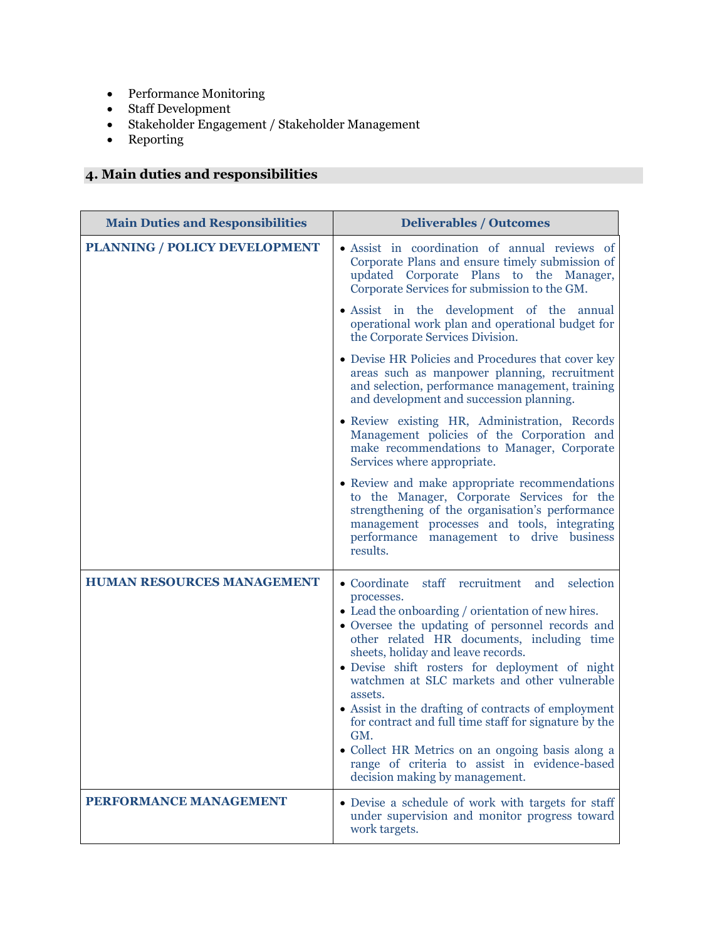- Performance Monitoring
- $\bullet$  Staff Development
- Stakeholder Engagement / Stakeholder Management
- Reporting

# **4. Main duties and responsibilities**

| <b>Main Duties and Responsibilities</b> | <b>Deliverables / Outcomes</b>                                                                                                                                                                                                                                                                                                                                                                                                                                                                                                                                                                                                       |  |
|-----------------------------------------|--------------------------------------------------------------------------------------------------------------------------------------------------------------------------------------------------------------------------------------------------------------------------------------------------------------------------------------------------------------------------------------------------------------------------------------------------------------------------------------------------------------------------------------------------------------------------------------------------------------------------------------|--|
| PLANNING / POLICY DEVELOPMENT           | · Assist in coordination of annual reviews of<br>Corporate Plans and ensure timely submission of<br>updated Corporate Plans to the Manager,<br>Corporate Services for submission to the GM.                                                                                                                                                                                                                                                                                                                                                                                                                                          |  |
|                                         | • Assist in the development of the annual<br>operational work plan and operational budget for<br>the Corporate Services Division.                                                                                                                                                                                                                                                                                                                                                                                                                                                                                                    |  |
|                                         | • Devise HR Policies and Procedures that cover key<br>areas such as manpower planning, recruitment<br>and selection, performance management, training<br>and development and succession planning.                                                                                                                                                                                                                                                                                                                                                                                                                                    |  |
|                                         | • Review existing HR, Administration, Records<br>Management policies of the Corporation and<br>make recommendations to Manager, Corporate<br>Services where appropriate.                                                                                                                                                                                                                                                                                                                                                                                                                                                             |  |
|                                         | • Review and make appropriate recommendations<br>to the Manager, Corporate Services for the<br>strengthening of the organisation's performance<br>management processes and tools, integrating<br>performance management to drive business<br>results.                                                                                                                                                                                                                                                                                                                                                                                |  |
| <b>HUMAN RESOURCES MANAGEMENT</b>       | staff recruitment and selection<br>• Coordinate<br>processes.<br>• Lead the onboarding / orientation of new hires.<br>• Oversee the updating of personnel records and<br>other related HR documents, including time<br>sheets, holiday and leave records.<br>• Devise shift rosters for deployment of night<br>watchmen at SLC markets and other vulnerable<br>assets.<br>• Assist in the drafting of contracts of employment<br>for contract and full time staff for signature by the<br>GM.<br>· Collect HR Metrics on an ongoing basis along a<br>range of criteria to assist in evidence-based<br>decision making by management. |  |
| PERFORMANCE MANAGEMENT                  | • Devise a schedule of work with targets for staff<br>under supervision and monitor progress toward<br>work targets.                                                                                                                                                                                                                                                                                                                                                                                                                                                                                                                 |  |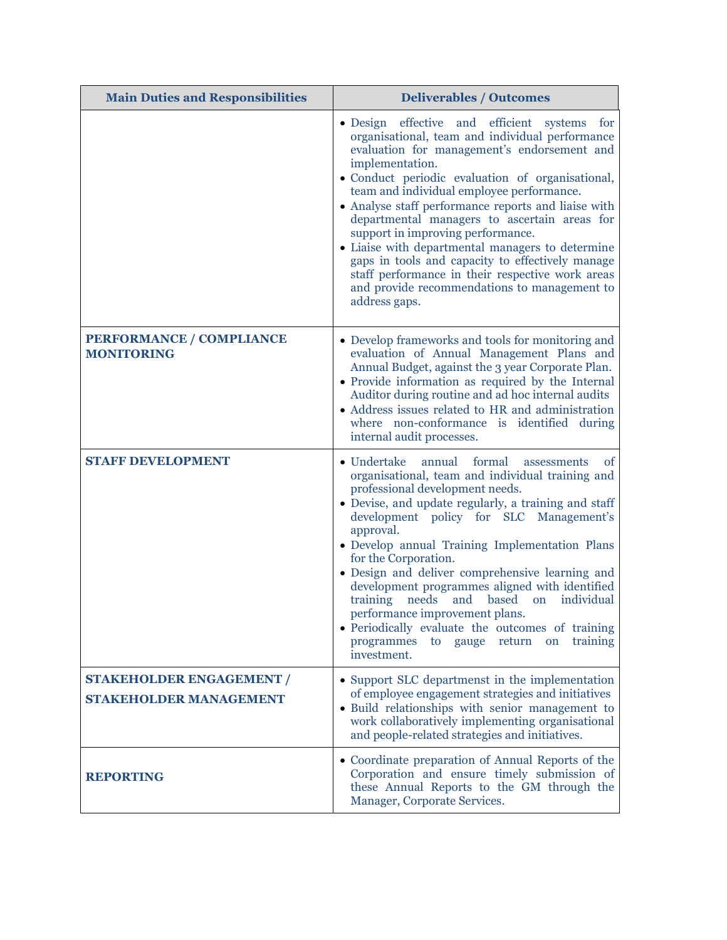| <b>Main Duties and Responsibilities</b>                          | <b>Deliverables / Outcomes</b>                                                                                                                                                                                                                                                                                                                                                                                                                                                                                                                                                                                                                                                 |  |
|------------------------------------------------------------------|--------------------------------------------------------------------------------------------------------------------------------------------------------------------------------------------------------------------------------------------------------------------------------------------------------------------------------------------------------------------------------------------------------------------------------------------------------------------------------------------------------------------------------------------------------------------------------------------------------------------------------------------------------------------------------|--|
|                                                                  | • Design effective and efficient systems<br>for<br>organisational, team and individual performance<br>evaluation for management's endorsement and<br>implementation.<br>• Conduct periodic evaluation of organisational,<br>team and individual employee performance.<br>• Analyse staff performance reports and liaise with<br>departmental managers to ascertain areas for<br>support in improving performance.<br>• Liaise with departmental managers to determine<br>gaps in tools and capacity to effectively manage<br>staff performance in their respective work areas<br>and provide recommendations to management to<br>address gaps.                                 |  |
| PERFORMANCE / COMPLIANCE<br><b>MONITORING</b>                    | • Develop frameworks and tools for monitoring and<br>evaluation of Annual Management Plans and<br>Annual Budget, against the 3 year Corporate Plan.<br>• Provide information as required by the Internal<br>Auditor during routine and ad hoc internal audits<br>• Address issues related to HR and administration<br>where non-conformance is identified during<br>internal audit processes.                                                                                                                                                                                                                                                                                  |  |
| <b>STAFF DEVELOPMENT</b>                                         | $\bullet$ Undertake<br>annual<br>formal<br><sub>of</sub><br>assessments<br>organisational, team and individual training and<br>professional development needs.<br>· Devise, and update regularly, a training and staff<br>development policy for SLC Management's<br>approval.<br>• Develop annual Training Implementation Plans<br>for the Corporation.<br>· Design and deliver comprehensive learning and<br>development programmes aligned with identified<br>individual<br>training<br>needs<br>based<br>and<br>on<br>performance improvement plans.<br>• Periodically evaluate the outcomes of training<br>programmes<br>return on<br>training<br>to gauge<br>investment. |  |
| <b>STAKEHOLDER ENGAGEMENT /</b><br><b>STAKEHOLDER MANAGEMENT</b> | • Support SLC departmenst in the implementation<br>of employee engagement strategies and initiatives<br>• Build relationships with senior management to<br>work collaboratively implementing organisational<br>and people-related strategies and initiatives.                                                                                                                                                                                                                                                                                                                                                                                                                  |  |
| <b>REPORTING</b>                                                 | • Coordinate preparation of Annual Reports of the<br>Corporation and ensure timely submission of<br>these Annual Reports to the GM through the<br>Manager, Corporate Services.                                                                                                                                                                                                                                                                                                                                                                                                                                                                                                 |  |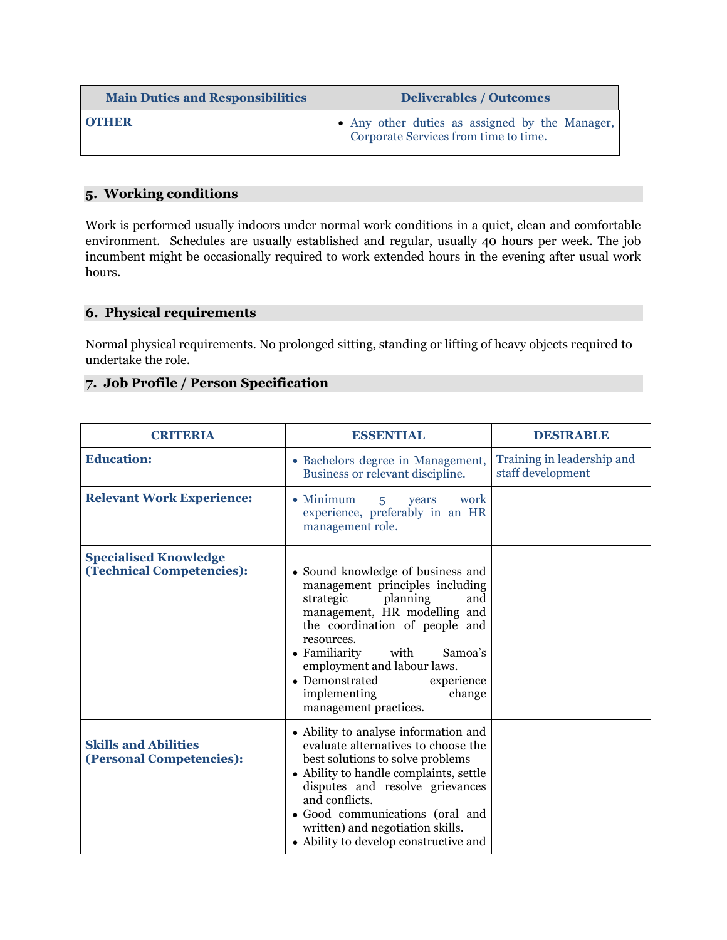| <b>Main Duties and Responsibilities</b> | <b>Deliverables / Outcomes</b>                                                          |  |
|-----------------------------------------|-----------------------------------------------------------------------------------------|--|
| <b>OTHER</b>                            | • Any other duties as assigned by the Manager,<br>Corporate Services from time to time. |  |

# **5. Working conditions**

Work is performed usually indoors under normal work conditions in a quiet, clean and comfortable environment. Schedules are usually established and regular, usually 40 hours per week. The job incumbent might be occasionally required to work extended hours in the evening after usual work hours.

# **6. Physical requirements**

Normal physical requirements. No prolonged sitting, standing or lifting of heavy objects required to undertake the role.

## **7. Job Profile / Person Specification**

| <b>CRITERIA</b>                                                  | <b>ESSENTIAL</b>                                                                                                                                                                                                                                                                                                                           | <b>DESIRABLE</b>                                |
|------------------------------------------------------------------|--------------------------------------------------------------------------------------------------------------------------------------------------------------------------------------------------------------------------------------------------------------------------------------------------------------------------------------------|-------------------------------------------------|
| <b>Education:</b>                                                | • Bachelors degree in Management,<br>Business or relevant discipline.                                                                                                                                                                                                                                                                      | Training in leadership and<br>staff development |
| <b>Relevant Work Experience:</b>                                 | $\bullet$ Minimum<br>work<br>years<br>$\overline{5}$<br>experience, preferably in an HR<br>management role.                                                                                                                                                                                                                                |                                                 |
| <b>Specialised Knowledge</b><br><b>(Technical Competencies):</b> | • Sound knowledge of business and<br>management principles including<br>strategic<br>planning<br>and<br>management, HR modelling and<br>the coordination of people and<br>resources.<br>• Familiarity<br>with<br>Samoa's<br>employment and labour laws.<br>• Demonstrated<br>experience<br>implementing<br>change<br>management practices. |                                                 |
| <b>Skills and Abilities</b><br>(Personal Competencies):          | • Ability to analyse information and<br>evaluate alternatives to choose the<br>best solutions to solve problems<br>• Ability to handle complaints, settle<br>disputes and resolve grievances<br>and conflicts.<br>· Good communications (oral and<br>written) and negotiation skills.<br>• Ability to develop constructive and             |                                                 |